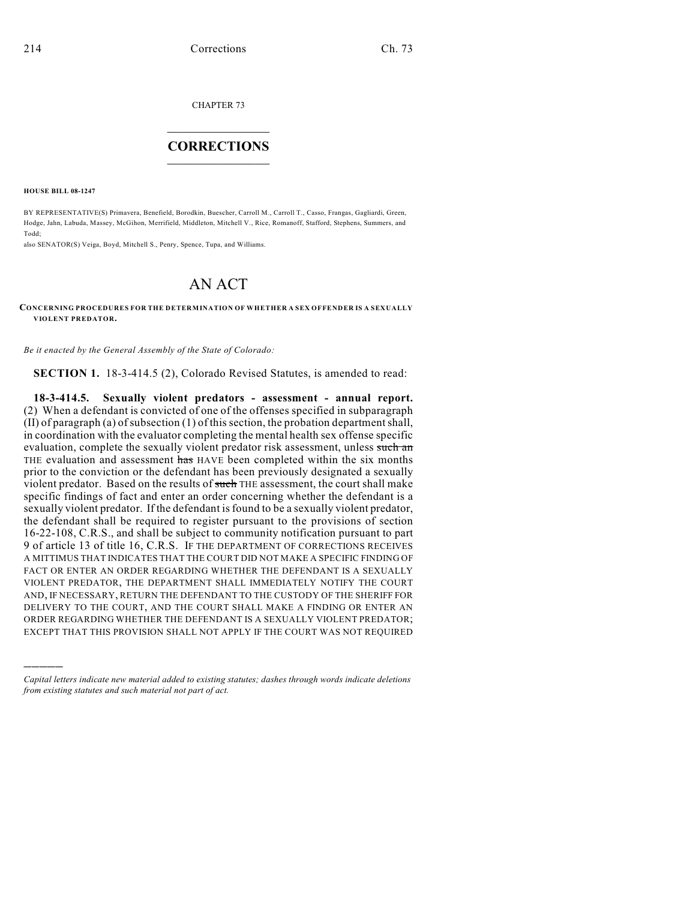CHAPTER 73

## $\mathcal{L}_\text{max}$  . The set of the set of the set of the set of the set of the set of the set of the set of the set of the set of the set of the set of the set of the set of the set of the set of the set of the set of the set **CORRECTIONS**  $\frac{1}{2}$  ,  $\frac{1}{2}$  ,  $\frac{1}{2}$  ,  $\frac{1}{2}$  ,  $\frac{1}{2}$  ,  $\frac{1}{2}$

**HOUSE BILL 08-1247**

)))))

BY REPRESENTATIVE(S) Primavera, Benefield, Borodkin, Buescher, Carroll M., Carroll T., Casso, Frangas, Gagliardi, Green, Hodge, Jahn, Labuda, Massey, McGihon, Merrifield, Middleton, Mitchell V., Rice, Romanoff, Stafford, Stephens, Summers, and Todd;

also SENATOR(S) Veiga, Boyd, Mitchell S., Penry, Spence, Tupa, and Williams.

## AN ACT

## **CONCERNING PROCEDURES FOR THE DETERMINATION OF WHETHER A SEX OFFENDER IS A SEXUALLY VIOLENT PREDATOR.**

*Be it enacted by the General Assembly of the State of Colorado:*

**SECTION 1.** 18-3-414.5 (2), Colorado Revised Statutes, is amended to read:

**18-3-414.5. Sexually violent predators - assessment - annual report.** (2) When a defendant is convicted of one of the offenses specified in subparagraph (II) of paragraph (a) of subsection (1) of this section, the probation department shall, in coordination with the evaluator completing the mental health sex offense specific evaluation, complete the sexually violent predator risk assessment, unless such an THE evaluation and assessment has HAVE been completed within the six months prior to the conviction or the defendant has been previously designated a sexually violent predator. Based on the results of such THE assessment, the court shall make specific findings of fact and enter an order concerning whether the defendant is a sexually violent predator. If the defendant is found to be a sexually violent predator, the defendant shall be required to register pursuant to the provisions of section 16-22-108, C.R.S., and shall be subject to community notification pursuant to part 9 of article 13 of title 16, C.R.S. IF THE DEPARTMENT OF CORRECTIONS RECEIVES A MITTIMUS THAT INDICATES THAT THE COURT DID NOT MAKE A SPECIFIC FINDING OF FACT OR ENTER AN ORDER REGARDING WHETHER THE DEFENDANT IS A SEXUALLY VIOLENT PREDATOR, THE DEPARTMENT SHALL IMMEDIATELY NOTIFY THE COURT AND, IF NECESSARY, RETURN THE DEFENDANT TO THE CUSTODY OF THE SHERIFF FOR DELIVERY TO THE COURT, AND THE COURT SHALL MAKE A FINDING OR ENTER AN ORDER REGARDING WHETHER THE DEFENDANT IS A SEXUALLY VIOLENT PREDATOR; EXCEPT THAT THIS PROVISION SHALL NOT APPLY IF THE COURT WAS NOT REQUIRED

*Capital letters indicate new material added to existing statutes; dashes through words indicate deletions from existing statutes and such material not part of act.*